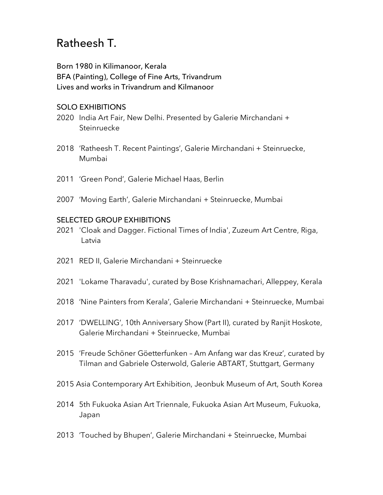# Ratheesh T.

Born 1980 in Kilimanoor, Kerala BFA (Painting), College of Fine Arts, Trivandrum Lives and works in Trivandrum and Kilmanoor

## SOLO EXHIBITIONS

- 2020 India Art Fair, New Delhi. Presented by Galerie Mirchandani + **Steinruecke**
- 2018 'Ratheesh T. Recent Paintings', Galerie Mirchandani + Steinruecke, Mumbai
- 2011 'Green Pond', Galerie Michael Haas, Berlin
- 2007 'Moving Earth', Galerie Mirchandani + Steinruecke, Mumbai

### SELECTED GROUP EXHIBITIONS

- 2021 'Cloak and Dagger. Fictional Times of India', Zuzeum Art Centre, Riga, Latvia
- 2021 RED II, Galerie Mirchandani + Steinruecke
- 2021 'Lokame Tharavadu', curated by Bose Krishnamachari, Alleppey, Kerala
- 2018 'Nine Painters from Kerala', Galerie Mirchandani + Steinruecke, Mumbai
- 2017 'DWELLING', 10th Anniversary Show (Part II), curated by Ranjit Hoskote, Galerie Mirchandani + Steinruecke, Mumbai
- 2015 'Freude Schöner Göetterfunken Am Anfang war das Kreuz', curated by Tilman and Gabriele Osterwold, Galerie ABTART, Stuttgart, Germany
- 2015 Asia Contemporary Art Exhibition, Jeonbuk Museum of Art, South Korea
- 2014 5th Fukuoka Asian Art Triennale, Fukuoka Asian Art Museum, Fukuoka, Japan
- 2013 'Touched by Bhupen', Galerie Mirchandani + Steinruecke, Mumbai